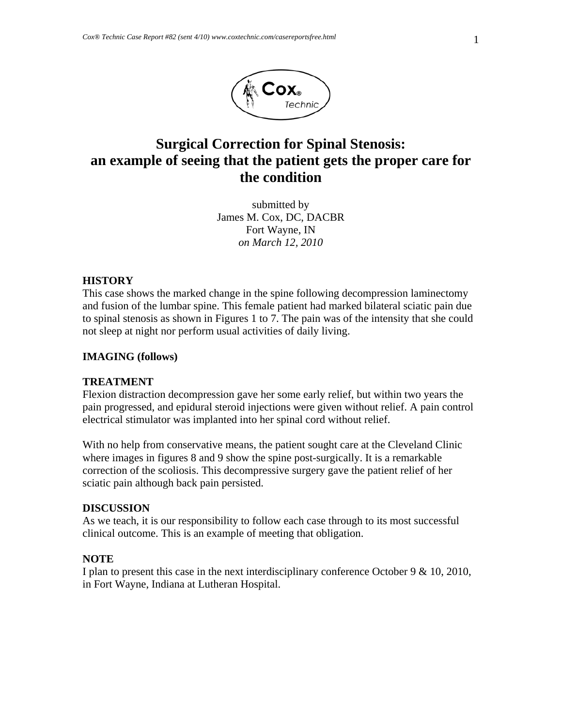

# **Surgical Correction for Spinal Stenosis: an example of seeing that the patient gets the proper care for the condition**

submitted by James M. Cox, DC, DACBR Fort Wayne, IN *on March 12, 2010* 

#### **HISTORY**

This case shows the marked change in the spine following decompression laminectomy and fusion of the lumbar spine. This female patient had marked bilateral sciatic pain due to spinal stenosis as shown in Figures 1 to 7. The pain was of the intensity that she could not sleep at night nor perform usual activities of daily living.

### **IMAGING (follows)**

#### **TREATMENT**

Flexion distraction decompression gave her some early relief, but within two years the pain progressed, and epidural steroid injections were given without relief. A pain control electrical stimulator was implanted into her spinal cord without relief.

With no help from conservative means, the patient sought care at the Cleveland Clinic where images in figures 8 and 9 show the spine post-surgically. It is a remarkable correction of the scoliosis. This decompressive surgery gave the patient relief of her sciatic pain although back pain persisted.

#### **DISCUSSION**

As we teach, it is our responsibility to follow each case through to its most successful clinical outcome. This is an example of meeting that obligation.

## **NOTE**

I plan to present this case in the next interdisciplinary conference October 9 & 10, 2010, in Fort Wayne, Indiana at Lutheran Hospital.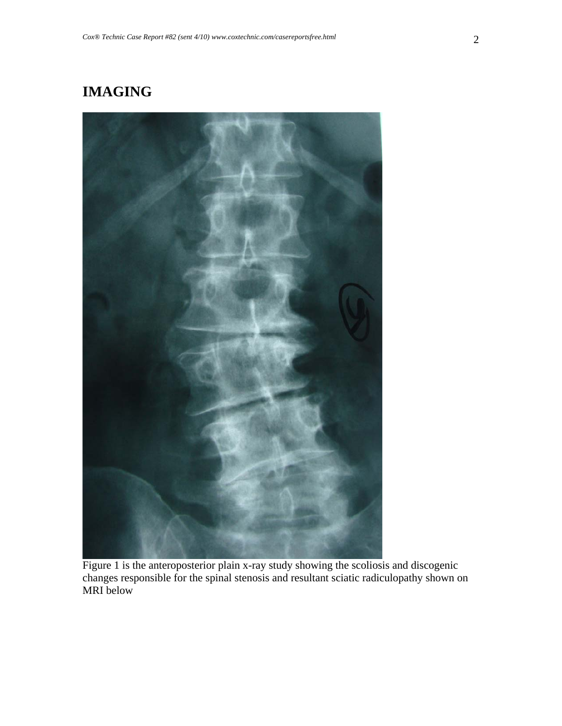# **IMAGING**



Figure 1 is the anteroposterior plain x-ray study showing the scoliosis and discogenic changes responsible for the spinal stenosis and resultant sciatic radiculopathy shown on MRI below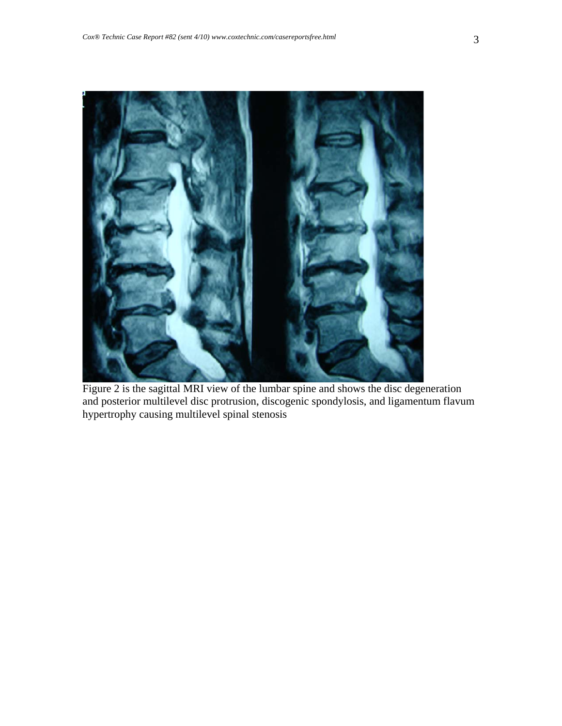

Figure 2 is the sagittal MRI view of the lumbar spine and shows the disc degeneration and posterior multilevel disc protrusion, discogenic spondylosis, and ligamentum flavum hypertrophy causing multilevel spinal stenosis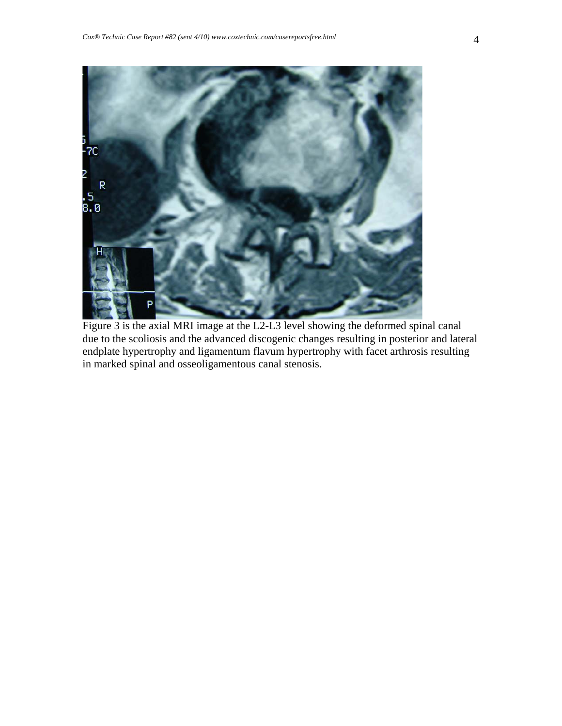

Figure 3 is the axial MRI image at the L2-L3 level showing the deformed spinal canal due to the scoliosis and the advanced discogenic changes resulting in posterior and lateral endplate hypertrophy and ligamentum flavum hypertrophy with facet arthrosis resulting in marked spinal and osseoligamentous canal stenosis.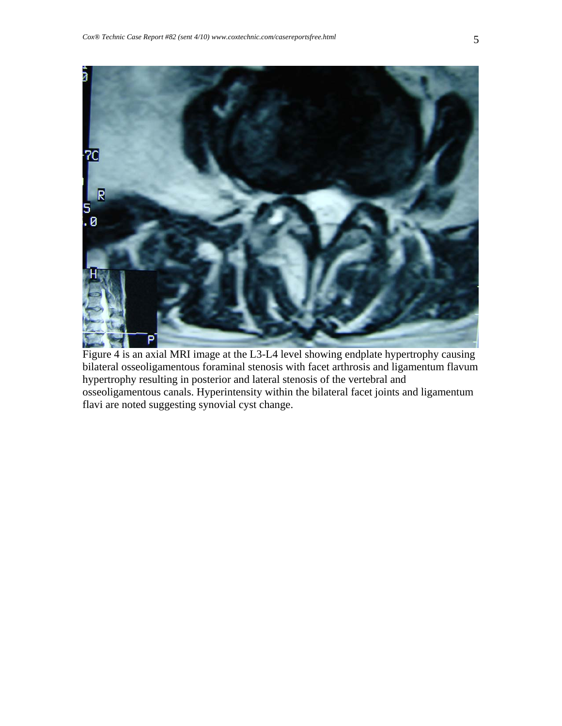

Figure 4 is an axial MRI image at the L3-L4 level showing endplate hypertrophy causing bilateral osseoligamentous foraminal stenosis with facet arthrosis and ligamentum flavum hypertrophy resulting in posterior and lateral stenosis of the vertebral and osseoligamentous canals. Hyperintensity within the bilateral facet joints and ligamentum flavi are noted suggesting synovial cyst change.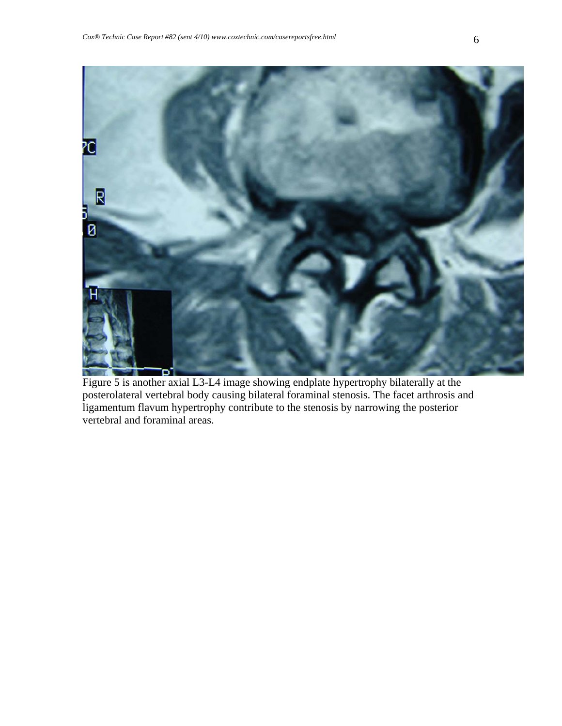

Figure 5 is another axial L3-L4 image showing endplate hypertrophy bilaterally at the posterolateral vertebral body causing bilateral foraminal stenosis. The facet arthrosis and ligamentum flavum hypertrophy contribute to the stenosis by narrowing the posterior vertebral and foraminal areas.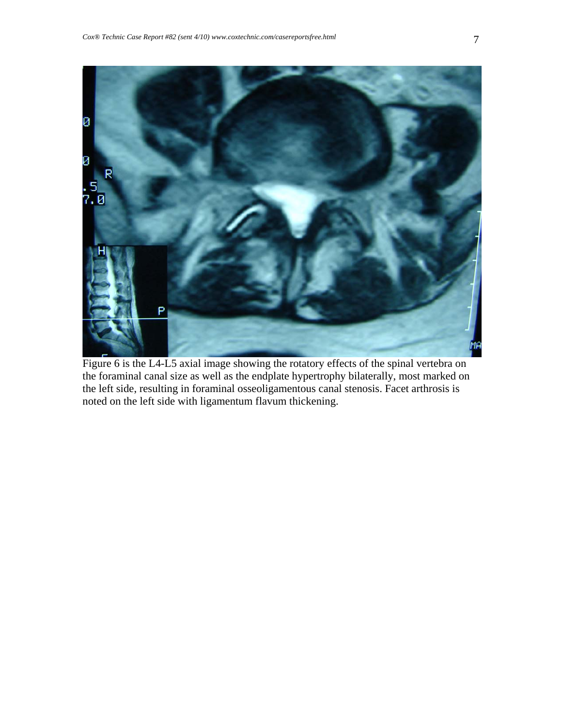

Figure 6 is the L4-L5 axial image showing the rotatory effects of the spinal vertebra on the foraminal canal size as well as the endplate hypertrophy bilaterally, most marked on the left side, resulting in foraminal osseoligamentous canal stenosis. Facet arthrosis is noted on the left side with ligamentum flavum thickening.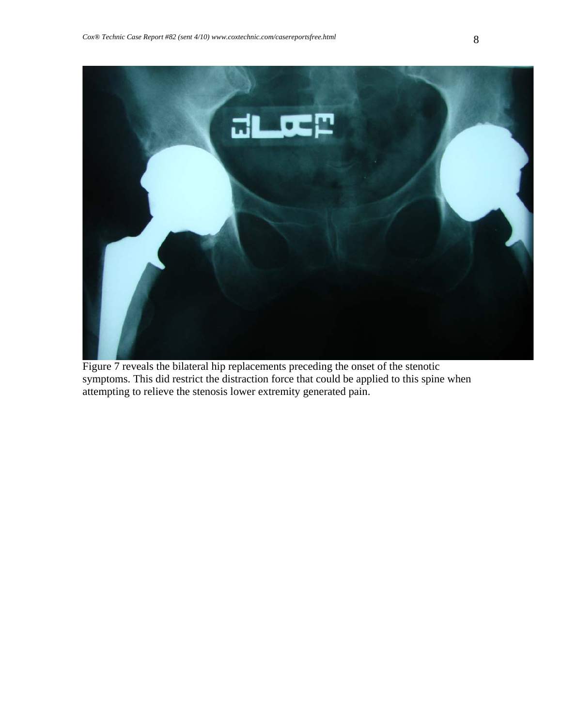

Figure 7 reveals the bilateral hip replacements preceding the onset of the stenotic symptoms. This did restrict the distraction force that could be applied to this spine when attempting to relieve the stenosis lower extremity generated pain.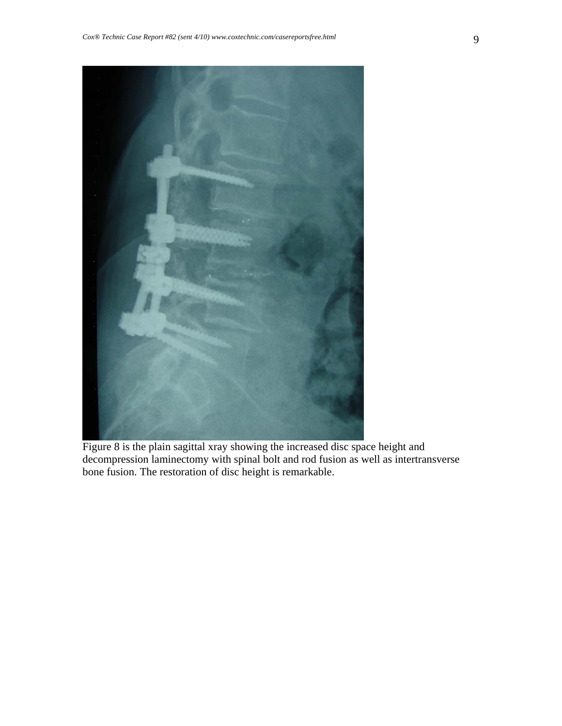

Figure 8 is the plain sagittal xray showing the increased disc space height and decompression laminectomy with spinal bolt and rod fusion as well as intertransverse bone fusion. The restoration of disc height is remarkable.